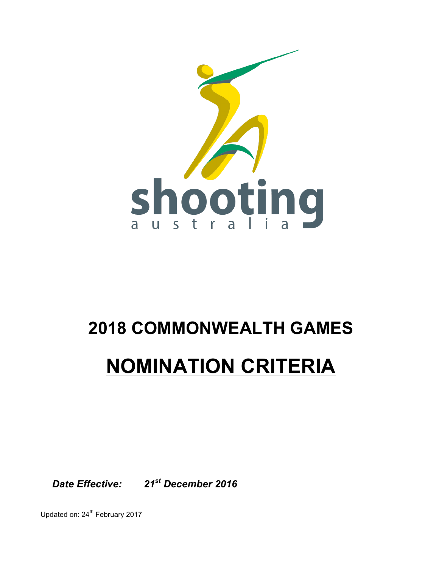

# **2018 COMMONWEALTH GAMES**

## **NOMINATION CRITERIA**

*Date Effective: 21st December 2016*

Updated on: 24<sup>th</sup> February 2017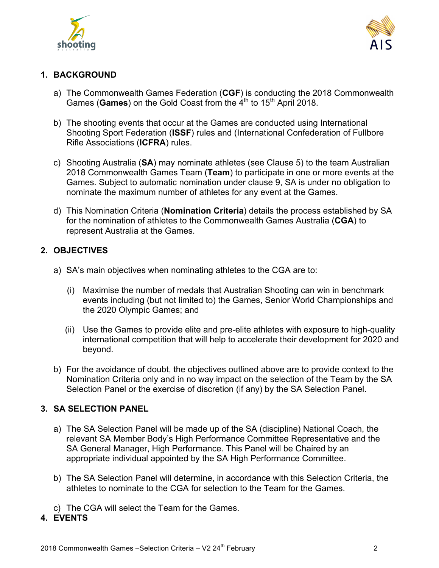



#### **1. BACKGROUND**

- a) The Commonwealth Games Federation (**CGF**) is conducting the 2018 Commonwealth Games (Games) on the Gold Coast from the 4<sup>th</sup> to 15<sup>th</sup> April 2018.
- b) The shooting events that occur at the Games are conducted using International Shooting Sport Federation (**ISSF**) rules and (International Confederation of Fullbore Rifle Associations (**ICFRA**) rules.
- c) Shooting Australia (**SA**) may nominate athletes (see Clause 5) to the team Australian 2018 Commonwealth Games Team (**Team**) to participate in one or more events at the Games. Subject to automatic nomination under clause 9, SA is under no obligation to nominate the maximum number of athletes for any event at the Games.
- d) This Nomination Criteria (**Nomination Criteria**) details the process established by SA for the nomination of athletes to the Commonwealth Games Australia (**CGA**) to represent Australia at the Games.

### **2. OBJECTIVES**

- a) SA's main objectives when nominating athletes to the CGA are to:
	- (i) Maximise the number of medals that Australian Shooting can win in benchmark events including (but not limited to) the Games, Senior World Championships and the 2020 Olympic Games; and
	- (ii) Use the Games to provide elite and pre-elite athletes with exposure to high-quality international competition that will help to accelerate their development for 2020 and beyond.
- b) For the avoidance of doubt, the objectives outlined above are to provide context to the Nomination Criteria only and in no way impact on the selection of the Team by the SA Selection Panel or the exercise of discretion (if any) by the SA Selection Panel.

#### **3. SA SELECTION PANEL**

- a) The SA Selection Panel will be made up of the SA (discipline) National Coach, the relevant SA Member Body's High Performance Committee Representative and the SA General Manager, High Performance. This Panel will be Chaired by an appropriate individual appointed by the SA High Performance Committee.
- b) The SA Selection Panel will determine, in accordance with this Selection Criteria, the athletes to nominate to the CGA for selection to the Team for the Games.
- c) The CGA will select the Team for the Games.

#### **4. EVENTS**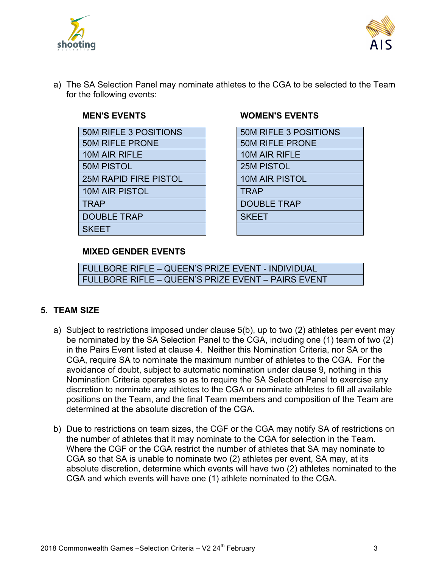



a) The SA Selection Panel may nominate athletes to the CGA to be selected to the Team for the following events:

| <b>50M RIFLE 3 POSITIONS</b> | <b>50M RIFLE 3 POSITIONS</b> |
|------------------------------|------------------------------|
| <b>50M RIFLE PRONE</b>       | <b>50M RIFLE PRONE</b>       |
| 10M AIR RIFLE                | 10M AIR RIFLE                |
| <b>50M PISTOL</b>            | <b>25M PISTOL</b>            |
| <b>25M RAPID FIRE PISTOL</b> | <b>10M AIR PISTOL</b>        |
| <b>10M AIR PISTOL</b>        | <b>TRAP</b>                  |
| <b>TRAP</b>                  | <b>DOUBLE TRAP</b>           |
| <b>DOUBLE TRAP</b>           | <b>SKEET</b>                 |
| <b>SKEET</b>                 |                              |
|                              |                              |

#### **MEN'S EVENTS WOMEN'S EVENTS**

| <b>50M RIFLE 3 POSITIONS</b> |  |  |
|------------------------------|--|--|
| <b>50M RIFLE PRONE</b>       |  |  |
| 10M AIR RIFLE                |  |  |
| <b>25M PISTOL</b>            |  |  |
| <b>10M AIR PISTOL</b>        |  |  |
| <b>TRAP</b>                  |  |  |
| <b>DOUBLE TRAP</b>           |  |  |
| <b>SKEET</b>                 |  |  |
|                              |  |  |

#### **MIXED GENDER EVENTS**

FULLBORE RIFLE – QUEEN'S PRIZE EVENT - INDIVIDUAL FULLBORE RIFLE – QUEEN'S PRIZE EVENT – PAIRS EVENT

#### **5. TEAM SIZE**

- a) Subject to restrictions imposed under clause 5(b), up to two (2) athletes per event may be nominated by the SA Selection Panel to the CGA, including one (1) team of two (2) in the Pairs Event listed at clause 4. Neither this Nomination Criteria, nor SA or the CGA, require SA to nominate the maximum number of athletes to the CGA. For the avoidance of doubt, subject to automatic nomination under clause 9, nothing in this Nomination Criteria operates so as to require the SA Selection Panel to exercise any discretion to nominate any athletes to the CGA or nominate athletes to fill all available positions on the Team, and the final Team members and composition of the Team are determined at the absolute discretion of the CGA.
- b) Due to restrictions on team sizes, the CGF or the CGA may notify SA of restrictions on the number of athletes that it may nominate to the CGA for selection in the Team. Where the CGF or the CGA restrict the number of athletes that SA may nominate to CGA so that SA is unable to nominate two (2) athletes per event, SA may, at its absolute discretion, determine which events will have two (2) athletes nominated to the CGA and which events will have one (1) athlete nominated to the CGA.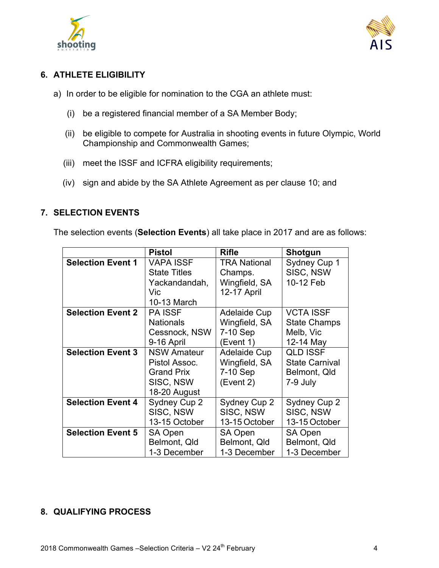



### **6. ATHLETE ELIGIBILITY**

- a) In order to be eligible for nomination to the CGA an athlete must:
	- (i) be a registered financial member of a SA Member Body;
	- (ii) be eligible to compete for Australia in shooting events in future Olympic, World Championship and Commonwealth Games;
	- (iii) meet the ISSF and ICFRA eligibility requirements;
	- (iv) sign and abide by the SA Athlete Agreement as per clause 10; and

#### **7. SELECTION EVENTS**

The selection events (**Selection Events**) all take place in 2017 and are as follows:

|                          | <b>Pistol</b>       | <b>Rifle</b>        | <b>Shotgun</b>        |
|--------------------------|---------------------|---------------------|-----------------------|
| <b>Selection Event 1</b> | <b>VAPA ISSF</b>    | <b>TRA National</b> | Sydney Cup 1          |
|                          | <b>State Titles</b> | Champs.             | SISC, NSW             |
|                          | Yackandandah,       | Wingfield, SA       | 10-12 Feb             |
|                          | Vic                 | 12-17 April         |                       |
|                          | 10-13 March         |                     |                       |
| <b>Selection Event 2</b> | <b>PA ISSF</b>      | Adelaide Cup        | <b>VCTA ISSF</b>      |
|                          | <b>Nationals</b>    | Wingfield, SA       | <b>State Champs</b>   |
|                          | Cessnock, NSW       | 7-10 Sep            | Melb, Vic             |
|                          | 9-16 April          | (Event 1)           | 12-14 May             |
| <b>Selection Event 3</b> | <b>NSW Amateur</b>  | <b>Adelaide Cup</b> | <b>QLD ISSF</b>       |
|                          | Pistol Assoc.       | Wingfield, SA       | <b>State Carnival</b> |
|                          | <b>Grand Prix</b>   | 7-10 Sep            | Belmont, Qld          |
|                          | SISC, NSW           | (Event 2)           | 7-9 July              |
|                          | 18-20 August        |                     |                       |
| <b>Selection Event 4</b> | Sydney Cup 2        | Sydney Cup 2        | Sydney Cup 2          |
|                          | SISC, NSW           | SISC, NSW           | SISC, NSW             |
|                          | 13-15 October       | 13-15 October       | 13-15 October         |
| <b>Selection Event 5</b> | SA Open             | SA Open             | SA Open               |
|                          | Belmont, Qld        | Belmont, Qld        | Belmont, Qld          |
|                          | 1-3 December        | 1-3 December        | 1-3 December          |

#### **8. QUALIFYING PROCESS**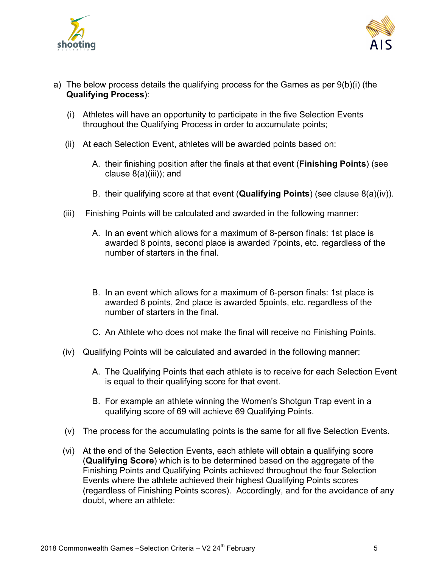



- a) The below process details the qualifying process for the Games as per 9(b)(i) (the **Qualifying Process**):
	- (i) Athletes will have an opportunity to participate in the five Selection Events throughout the Qualifying Process in order to accumulate points;
	- (ii) At each Selection Event, athletes will be awarded points based on:
		- A. their finishing position after the finals at that event (**Finishing Points**) (see clause 8(a)(iii)); and
		- B. their qualifying score at that event (**Qualifying Points**) (see clause 8(a)(iv)).
	- (iii) Finishing Points will be calculated and awarded in the following manner:
		- A. In an event which allows for a maximum of 8-person finals: 1st place is awarded 8 points, second place is awarded 7points, etc. regardless of the number of starters in the final.
		- B. In an event which allows for a maximum of 6-person finals: 1st place is awarded 6 points, 2nd place is awarded 5points, etc. regardless of the number of starters in the final.
		- C. An Athlete who does not make the final will receive no Finishing Points.
	- (iv) Qualifying Points will be calculated and awarded in the following manner:
		- A. The Qualifying Points that each athlete is to receive for each Selection Event is equal to their qualifying score for that event.
		- B. For example an athlete winning the Women's Shotgun Trap event in a qualifying score of 69 will achieve 69 Qualifying Points.
	- (v) The process for the accumulating points is the same for all five Selection Events.
	- (vi) At the end of the Selection Events, each athlete will obtain a qualifying score (**Qualifying Score**) which is to be determined based on the aggregate of the Finishing Points and Qualifying Points achieved throughout the four Selection Events where the athlete achieved their highest Qualifying Points scores (regardless of Finishing Points scores). Accordingly, and for the avoidance of any doubt, where an athlete: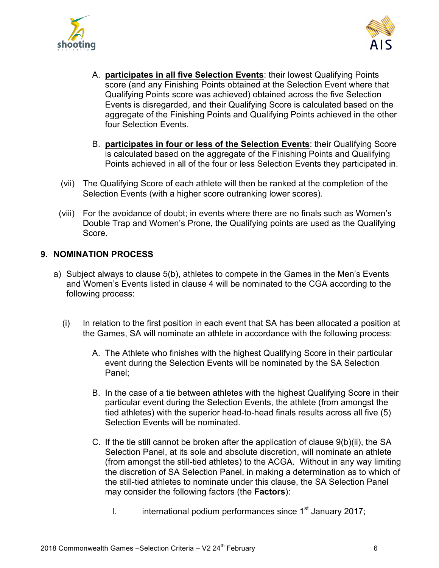



- A. **participates in all five Selection Events**: their lowest Qualifying Points score (and any Finishing Points obtained at the Selection Event where that Qualifying Points score was achieved) obtained across the five Selection Events is disregarded, and their Qualifying Score is calculated based on the aggregate of the Finishing Points and Qualifying Points achieved in the other four Selection Events.
- B. **participates in four or less of the Selection Events**: their Qualifying Score is calculated based on the aggregate of the Finishing Points and Qualifying Points achieved in all of the four or less Selection Events they participated in.
- (vii) The Qualifying Score of each athlete will then be ranked at the completion of the Selection Events (with a higher score outranking lower scores).
- (viii) For the avoidance of doubt; in events where there are no finals such as Women's Double Trap and Women's Prone, the Qualifying points are used as the Qualifying Score.

#### **9. NOMINATION PROCESS**

- a) Subject always to clause 5(b), athletes to compete in the Games in the Men's Events and Women's Events listed in clause 4 will be nominated to the CGA according to the following process:
	- (i) In relation to the first position in each event that SA has been allocated a position at the Games, SA will nominate an athlete in accordance with the following process:
		- A. The Athlete who finishes with the highest Qualifying Score in their particular event during the Selection Events will be nominated by the SA Selection Panel;
		- B. In the case of a tie between athletes with the highest Qualifying Score in their particular event during the Selection Events, the athlete (from amongst the tied athletes) with the superior head-to-head finals results across all five (5) Selection Events will be nominated.
		- C. If the tie still cannot be broken after the application of clause 9(b)(ii), the SA Selection Panel, at its sole and absolute discretion, will nominate an athlete (from amongst the still-tied athletes) to the ACGA. Without in any way limiting the discretion of SA Selection Panel, in making a determination as to which of the still-tied athletes to nominate under this clause, the SA Selection Panel may consider the following factors (the **Factors**):
			- I. international podium performances since  $1<sup>st</sup>$  January 2017;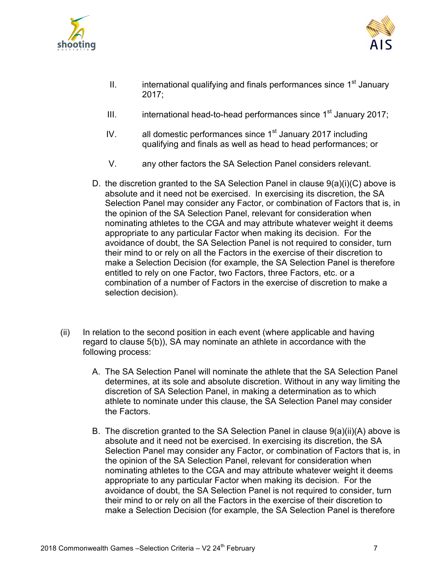



- II. international qualifying and finals performances since  $1<sup>st</sup>$  January 2017;
- III. international head-to-head performances since  $1<sup>st</sup>$  January 2017;
- IV. all domestic performances since  $1<sup>st</sup>$  January 2017 including qualifying and finals as well as head to head performances; or
- V. any other factors the SA Selection Panel considers relevant.
- D. the discretion granted to the SA Selection Panel in clause 9(a)(i)(C) above is absolute and it need not be exercised. In exercising its discretion, the SA Selection Panel may consider any Factor, or combination of Factors that is, in the opinion of the SA Selection Panel, relevant for consideration when nominating athletes to the CGA and may attribute whatever weight it deems appropriate to any particular Factor when making its decision. For the avoidance of doubt, the SA Selection Panel is not required to consider, turn their mind to or rely on all the Factors in the exercise of their discretion to make a Selection Decision (for example, the SA Selection Panel is therefore entitled to rely on one Factor, two Factors, three Factors, etc. or a combination of a number of Factors in the exercise of discretion to make a selection decision).
- (ii) In relation to the second position in each event (where applicable and having regard to clause 5(b)), SA may nominate an athlete in accordance with the following process:
	- A. The SA Selection Panel will nominate the athlete that the SA Selection Panel determines, at its sole and absolute discretion. Without in any way limiting the discretion of SA Selection Panel, in making a determination as to which athlete to nominate under this clause, the SA Selection Panel may consider the Factors.
	- B. The discretion granted to the SA Selection Panel in clause 9(a)(ii)(A) above is absolute and it need not be exercised. In exercising its discretion, the SA Selection Panel may consider any Factor, or combination of Factors that is, in the opinion of the SA Selection Panel, relevant for consideration when nominating athletes to the CGA and may attribute whatever weight it deems appropriate to any particular Factor when making its decision. For the avoidance of doubt, the SA Selection Panel is not required to consider, turn their mind to or rely on all the Factors in the exercise of their discretion to make a Selection Decision (for example, the SA Selection Panel is therefore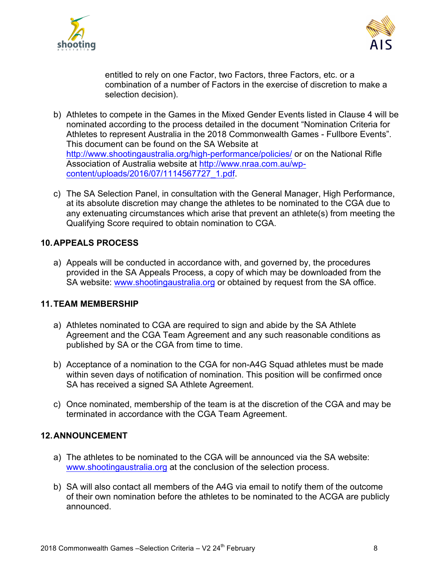



entitled to rely on one Factor, two Factors, three Factors, etc. or a combination of a number of Factors in the exercise of discretion to make a selection decision).

- b) Athletes to compete in the Games in the Mixed Gender Events listed in Clause 4 will be nominated according to the process detailed in the document "Nomination Criteria for Athletes to represent Australia in the 2018 Commonwealth Games - Fullbore Events". This document can be found on the SA Website at http://www.shootingaustralia.org/high-performance/policies/ or on the National Rifle Association of Australia website at http://www.nraa.com.au/wpcontent/uploads/2016/07/1114567727\_1.pdf.
- c) The SA Selection Panel, in consultation with the General Manager, High Performance, at its absolute discretion may change the athletes to be nominated to the CGA due to any extenuating circumstances which arise that prevent an athlete(s) from meeting the Qualifying Score required to obtain nomination to CGA.

#### **10.APPEALS PROCESS**

a) Appeals will be conducted in accordance with, and governed by, the procedures provided in the SA Appeals Process, a copy of which may be downloaded from the SA website: www.shootingaustralia.org or obtained by request from the SA office.

#### **11.TEAM MEMBERSHIP**

- a) Athletes nominated to CGA are required to sign and abide by the SA Athlete Agreement and the CGA Team Agreement and any such reasonable conditions as published by SA or the CGA from time to time.
- b) Acceptance of a nomination to the CGA for non-A4G Squad athletes must be made within seven days of notification of nomination. This position will be confirmed once SA has received a signed SA Athlete Agreement.
- c) Once nominated, membership of the team is at the discretion of the CGA and may be terminated in accordance with the CGA Team Agreement.

#### **12.ANNOUNCEMENT**

- a) The athletes to be nominated to the CGA will be announced via the SA website: www.shootingaustralia.org at the conclusion of the selection process.
- b) SA will also contact all members of the A4G via email to notify them of the outcome of their own nomination before the athletes to be nominated to the ACGA are publicly announced.